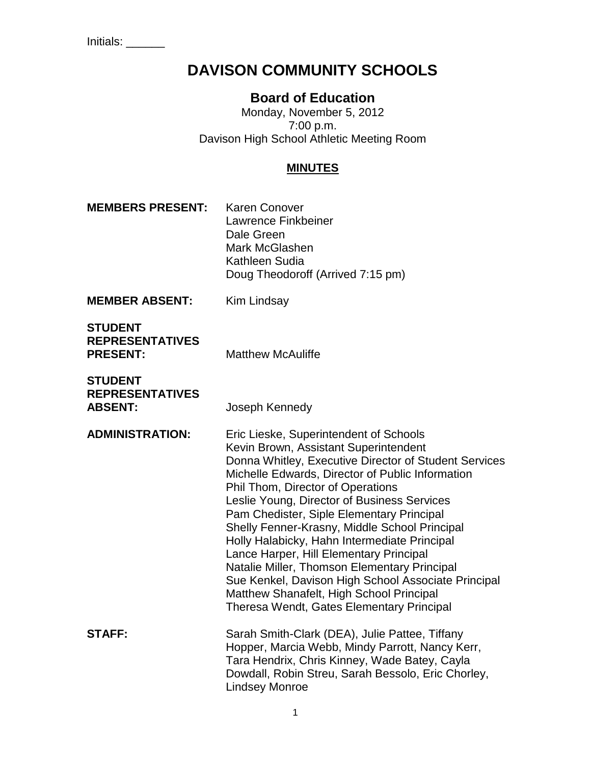# **DAVISON COMMUNITY SCHOOLS**

# **Board of Education**

Monday, November 5, 2012 7:00 p.m. Davison High School Athletic Meeting Room

# **MINUTES**

**MEMBERS PRESENT:** Karen Conover Lawrence Finkbeiner Dale Green Mark McGlashen Kathleen Sudia Doug Theodoroff (Arrived 7:15 pm)

**MEMBER ABSENT:** Kim Lindsay

| <b>STUDENT</b>         |   |
|------------------------|---|
| <b>REPRESENTATIVES</b> |   |
| <b>PRESENT:</b>        | N |

**PRESENT:** Matthew McAuliffe

| <b>STUDENT</b>         |
|------------------------|
| <b>REPRESENTATIVES</b> |
| <b>ABSENT:</b>         |

**Joseph Kennedy** 

**ADMINISTRATION:** Eric Lieske, Superintendent of Schools Kevin Brown, Assistant Superintendent Donna Whitley, Executive Director of Student Services Michelle Edwards, Director of Public Information Phil Thom, Director of Operations Leslie Young, Director of Business Services Pam Chedister, Siple Elementary Principal Shelly Fenner-Krasny, Middle School Principal Holly Halabicky, Hahn Intermediate Principal Lance Harper, Hill Elementary Principal Natalie Miller, Thomson Elementary Principal Sue Kenkel, Davison High School Associate Principal Matthew Shanafelt, High School Principal Theresa Wendt, Gates Elementary Principal **STAFF:** Sarah Smith-Clark (DEA), Julie Pattee, Tiffany Hopper, Marcia Webb, Mindy Parrott, Nancy Kerr, Tara Hendrix, Chris Kinney, Wade Batey, Cayla Dowdall, Robin Streu, Sarah Bessolo, Eric Chorley,

Lindsey Monroe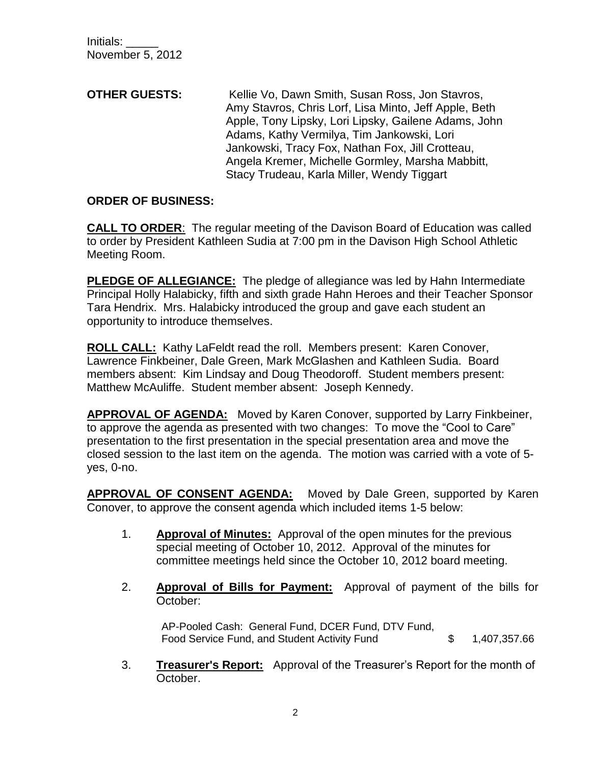**OTHER GUESTS:** Kellie Vo, Dawn Smith, Susan Ross, Jon Stavros, Amy Stavros, Chris Lorf, Lisa Minto, Jeff Apple, Beth Apple, Tony Lipsky, Lori Lipsky, Gailene Adams, John Adams, Kathy Vermilya, Tim Jankowski, Lori Jankowski, Tracy Fox, Nathan Fox, Jill Crotteau, Angela Kremer, Michelle Gormley, Marsha Mabbitt, Stacy Trudeau, Karla Miller, Wendy Tiggart

#### **ORDER OF BUSINESS:**

**CALL TO ORDER**: The regular meeting of the Davison Board of Education was called to order by President Kathleen Sudia at 7:00 pm in the Davison High School Athletic Meeting Room.

**PLEDGE OF ALLEGIANCE:** The pledge of allegiance was led by Hahn Intermediate Principal Holly Halabicky, fifth and sixth grade Hahn Heroes and their Teacher Sponsor Tara Hendrix. Mrs. Halabicky introduced the group and gave each student an opportunity to introduce themselves.

**ROLL CALL:** Kathy LaFeldt read the roll. Members present: Karen Conover, Lawrence Finkbeiner, Dale Green, Mark McGlashen and Kathleen Sudia. Board members absent: Kim Lindsay and Doug Theodoroff. Student members present: Matthew McAuliffe. Student member absent: Joseph Kennedy.

**APPROVAL OF AGENDA:** Moved by Karen Conover, supported by Larry Finkbeiner, to approve the agenda as presented with two changes: To move the "Cool to Care" presentation to the first presentation in the special presentation area and move the closed session to the last item on the agenda. The motion was carried with a vote of 5 yes, 0-no.

**APPROVAL OF CONSENT AGENDA:** Moved by Dale Green, supported by Karen Conover, to approve the consent agenda which included items 1-5 below:

- 1. **Approval of Minutes:** Approval of the open minutes for the previous special meeting of October 10, 2012. Approval of the minutes for committee meetings held since the October 10, 2012 board meeting.
- 2. **Approval of Bills for Payment:** Approval of payment of the bills for October:

AP-Pooled Cash: General Fund, DCER Fund, DTV Fund, Food Service Fund, and Student Activity Fund \$ 1,407,357.66

3. **Treasurer's Report:** Approval of the Treasurer's Report for the month of October.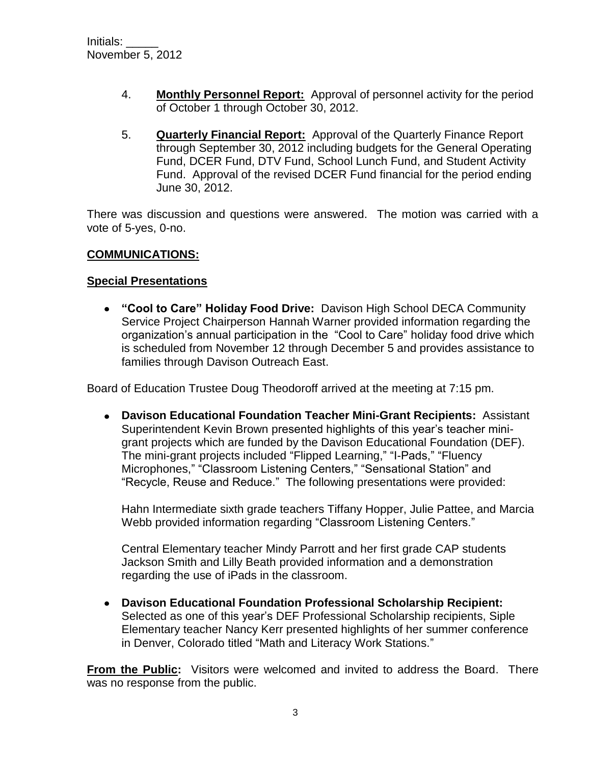- 4. **Monthly Personnel Report:** Approval of personnel activity for the period of October 1 through October 30, 2012.
- 5. **Quarterly Financial Report:** Approval of the Quarterly Finance Report through September 30, 2012 including budgets for the General Operating Fund, DCER Fund, DTV Fund, School Lunch Fund, and Student Activity Fund. Approval of the revised DCER Fund financial for the period ending June 30, 2012.

There was discussion and questions were answered. The motion was carried with a vote of 5-yes, 0-no.

## **COMMUNICATIONS:**

## **Special Presentations**

**"Cool to Care" Holiday Food Drive:** Davison High School DECA Community Service Project Chairperson Hannah Warner provided information regarding the organization's annual participation in the "Cool to Care" holiday food drive which is scheduled from November 12 through December 5 and provides assistance to families through Davison Outreach East.

Board of Education Trustee Doug Theodoroff arrived at the meeting at 7:15 pm.

**Davison Educational Foundation Teacher Mini-Grant Recipients:** Assistant Superintendent Kevin Brown presented highlights of this year's teacher minigrant projects which are funded by the Davison Educational Foundation (DEF). The mini-grant projects included "Flipped Learning," "I-Pads," "Fluency Microphones," "Classroom Listening Centers," "Sensational Station" and "Recycle, Reuse and Reduce." The following presentations were provided:

Hahn Intermediate sixth grade teachers Tiffany Hopper, Julie Pattee, and Marcia Webb provided information regarding "Classroom Listening Centers."

Central Elementary teacher Mindy Parrott and her first grade CAP students Jackson Smith and Lilly Beath provided information and a demonstration regarding the use of iPads in the classroom.

**Davison Educational Foundation Professional Scholarship Recipient:**  Selected as one of this year's DEF Professional Scholarship recipients, Siple Elementary teacher Nancy Kerr presented highlights of her summer conference in Denver, Colorado titled "Math and Literacy Work Stations."

**From the Public:** Visitors were welcomed and invited to address the Board. There was no response from the public.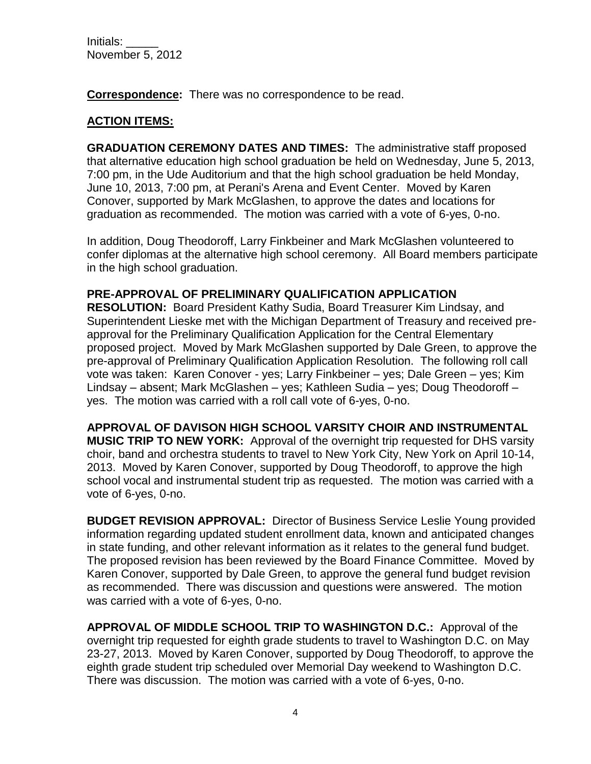**Correspondence:** There was no correspondence to be read.

## **ACTION ITEMS:**

**GRADUATION CEREMONY DATES AND TIMES:** The administrative staff proposed that alternative education high school graduation be held on Wednesday, June 5, 2013, 7:00 pm, in the Ude Auditorium and that the high school graduation be held Monday, June 10, 2013, 7:00 pm, at Perani's Arena and Event Center. Moved by Karen Conover, supported by Mark McGlashen, to approve the dates and locations for graduation as recommended. The motion was carried with a vote of 6-yes, 0-no.

In addition, Doug Theodoroff, Larry Finkbeiner and Mark McGlashen volunteered to confer diplomas at the alternative high school ceremony. All Board members participate in the high school graduation.

#### **PRE-APPROVAL OF PRELIMINARY QUALIFICATION APPLICATION**

**RESOLUTION:** Board President Kathy Sudia, Board Treasurer Kim Lindsay, and Superintendent Lieske met with the Michigan Department of Treasury and received preapproval for the Preliminary Qualification Application for the Central Elementary proposed project. Moved by Mark McGlashen supported by Dale Green, to approve the pre-approval of Preliminary Qualification Application Resolution. The following roll call vote was taken: Karen Conover - yes; Larry Finkbeiner – yes; Dale Green – yes; Kim Lindsay – absent; Mark McGlashen – yes; Kathleen Sudia – yes; Doug Theodoroff – yes. The motion was carried with a roll call vote of 6-yes, 0-no.

**APPROVAL OF DAVISON HIGH SCHOOL VARSITY CHOIR AND INSTRUMENTAL MUSIC TRIP TO NEW YORK:** Approval of the overnight trip requested for DHS varsity choir, band and orchestra students to travel to New York City, New York on April 10-14, 2013. Moved by Karen Conover, supported by Doug Theodoroff, to approve the high school vocal and instrumental student trip as requested. The motion was carried with a vote of 6-yes, 0-no.

**BUDGET REVISION APPROVAL:** Director of Business Service Leslie Young provided information regarding updated student enrollment data, known and anticipated changes in state funding, and other relevant information as it relates to the general fund budget. The proposed revision has been reviewed by the Board Finance Committee. Moved by Karen Conover, supported by Dale Green, to approve the general fund budget revision as recommended. There was discussion and questions were answered. The motion was carried with a vote of 6-yes, 0-no.

**APPROVAL OF MIDDLE SCHOOL TRIP TO WASHINGTON D.C.:** Approval of the overnight trip requested for eighth grade students to travel to Washington D.C. on May 23-27, 2013. Moved by Karen Conover, supported by Doug Theodoroff, to approve the eighth grade student trip scheduled over Memorial Day weekend to Washington D.C. There was discussion. The motion was carried with a vote of 6-yes, 0-no.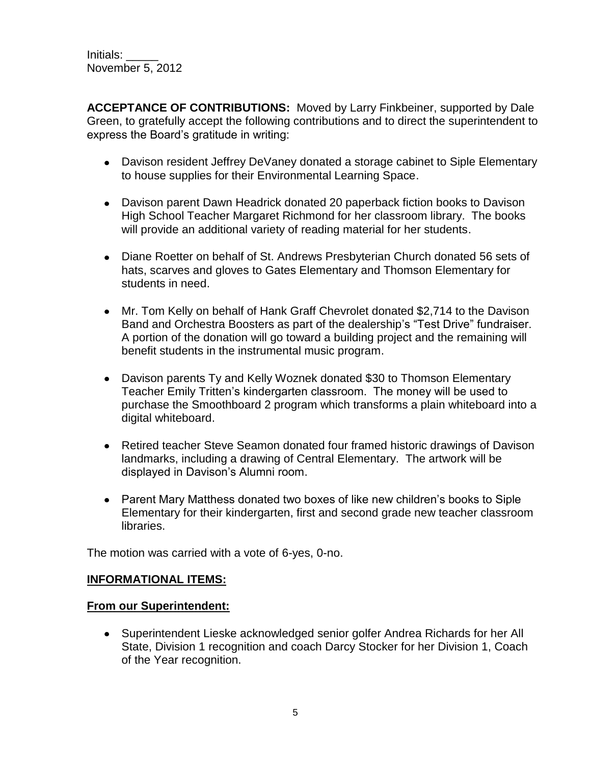**ACCEPTANCE OF CONTRIBUTIONS:** Moved by Larry Finkbeiner, supported by Dale Green, to gratefully accept the following contributions and to direct the superintendent to express the Board's gratitude in writing:

- Davison resident Jeffrey DeVaney donated a storage cabinet to Siple Elementary to house supplies for their Environmental Learning Space.
- Davison parent Dawn Headrick donated 20 paperback fiction books to Davison High School Teacher Margaret Richmond for her classroom library. The books will provide an additional variety of reading material for her students.
- Diane Roetter on behalf of St. Andrews Presbyterian Church donated 56 sets of hats, scarves and gloves to Gates Elementary and Thomson Elementary for students in need.
- Mr. Tom Kelly on behalf of Hank Graff Chevrolet donated \$2,714 to the Davison Band and Orchestra Boosters as part of the dealership's "Test Drive" fundraiser. A portion of the donation will go toward a building project and the remaining will benefit students in the instrumental music program.
- Davison parents Ty and Kelly Woznek donated \$30 to Thomson Elementary Teacher Emily Tritten's kindergarten classroom. The money will be used to purchase the Smoothboard 2 program which transforms a plain whiteboard into a digital whiteboard.
- Retired teacher Steve Seamon donated four framed historic drawings of Davison landmarks, including a drawing of Central Elementary. The artwork will be displayed in Davison's Alumni room.
- Parent Mary Matthess donated two boxes of like new children's books to Siple Elementary for their kindergarten, first and second grade new teacher classroom libraries.

The motion was carried with a vote of 6-yes, 0-no.

#### **INFORMATIONAL ITEMS:**

#### **From our Superintendent:**

Superintendent Lieske acknowledged senior golfer Andrea Richards for her All State, Division 1 recognition and coach Darcy Stocker for her Division 1, Coach of the Year recognition.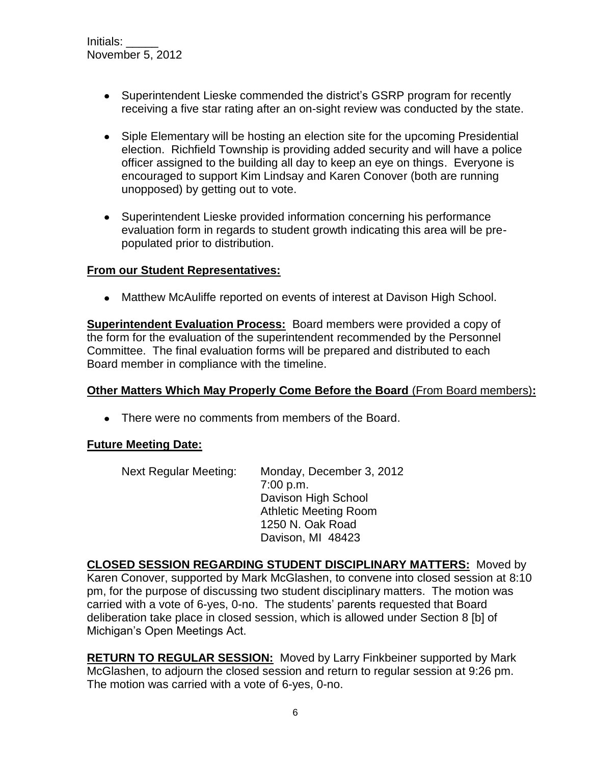- Superintendent Lieske commended the district's GSRP program for recently receiving a five star rating after an on-sight review was conducted by the state.
- Siple Elementary will be hosting an election site for the upcoming Presidential election. Richfield Township is providing added security and will have a police officer assigned to the building all day to keep an eye on things. Everyone is encouraged to support Kim Lindsay and Karen Conover (both are running unopposed) by getting out to vote.
- Superintendent Lieske provided information concerning his performance evaluation form in regards to student growth indicating this area will be prepopulated prior to distribution.

#### **From our Student Representatives:**

• Matthew McAuliffe reported on events of interest at Davison High School.

**Superintendent Evaluation Process:** Board members were provided a copy of the form for the evaluation of the superintendent recommended by the Personnel Committee. The final evaluation forms will be prepared and distributed to each Board member in compliance with the timeline.

#### **Other Matters Which May Properly Come Before the Board** (From Board members)**:**

• There were no comments from members of the Board.

#### **Future Meeting Date:**

| <b>Next Regular Meeting:</b> | Monday, December 3, 2012     |
|------------------------------|------------------------------|
|                              | 7:00 p.m.                    |
|                              | Davison High School          |
|                              | <b>Athletic Meeting Room</b> |
|                              | 1250 N. Oak Road             |
|                              | Davison, MI 48423            |

**CLOSED SESSION REGARDING STUDENT DISCIPLINARY MATTERS:** Moved by Karen Conover, supported by Mark McGlashen, to convene into closed session at 8:10 pm, for the purpose of discussing two student disciplinary matters. The motion was carried with a vote of 6-yes, 0-no. The students' parents requested that Board deliberation take place in closed session, which is allowed under Section 8 [b] of Michigan's Open Meetings Act.

**RETURN TO REGULAR SESSION:** Moved by Larry Finkbeiner supported by Mark McGlashen, to adjourn the closed session and return to regular session at 9:26 pm. The motion was carried with a vote of 6-yes, 0-no.